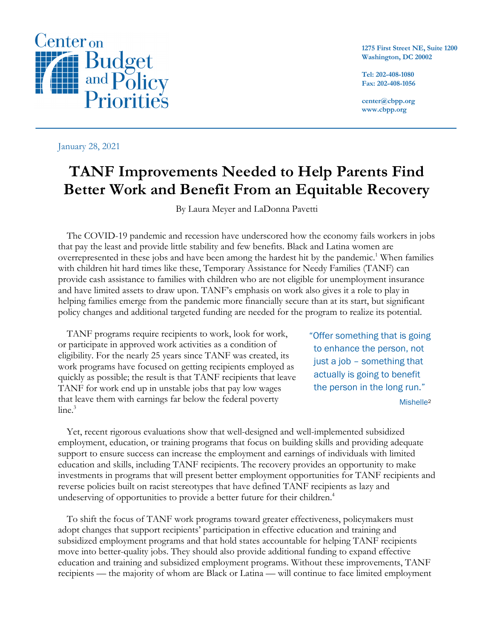

January 28, 2021

**1275 First Street NE, Suite 1200 Washington, DC 20002**

**Tel: 202-408-1080 Fax: 202-408-1056**

**center@cbpp.org www.cbpp.org**

# **TANF Improvements Needed to Help Parents Find Better Work and Benefit From an Equitable Recovery**

By Laura Meyer and LaDonna Pavetti

The COVID-19 pandemic and recession have underscored how the economy fails workers in jobs that pay the least and provide little stability and few benefits. Black and Latina women are overrepresented in these jobs and have been among the hardest hit by the pandemic.<sup>1</sup> When families with children hit hard times like these, Temporary Assistance for Needy Families (TANF) can provide cash assistance to families with children who are not eligible for unemployment insurance and have limited assets to draw upon. TANF's emphasis on work also gives it a role to play in helping families emerge from the pandemic more financially secure than at its start, but significant policy changes and additional targeted funding are needed for the program to realize its potential.

TANF programs require recipients to work, look for work, or participate in approved work activities as a condition of eligibility. For the nearly 25 years since TANF was created, its work programs have focused on getting recipients employed as quickly as possible; the result is that TANF recipients that leave TANF for work end up in unstable jobs that pay low wages that leave them with earnings far below the federal poverty  $line<sup>3</sup>$ 

"Offer something that is going to enhance the person, not just a job – something that actually is going to benefit the person in the long run."

Mishelle<sup>2</sup>

Yet, recent rigorous evaluations show that well-designed and well-implemented subsidized employment, education, or training programs that focus on building skills and providing adequate support to ensure success can increase the employment and earnings of individuals with limited education and skills, including TANF recipients. The recovery provides an opportunity to make investments in programs that will present better employment opportunities for TANF recipients and reverse policies built on racist stereotypes that have defined TANF recipients as lazy and undeserving of opportunities to provide a better future for their children.<sup>4</sup>

To shift the focus of TANF work programs toward greater effectiveness, policymakers must adopt changes that support recipients' participation in effective education and training and subsidized employment programs and that hold states accountable for helping TANF recipients move into better-quality jobs. They should also provide additional funding to expand effective education and training and subsidized employment programs. Without these improvements, TANF recipients — the majority of whom are Black or Latina — will continue to face limited employment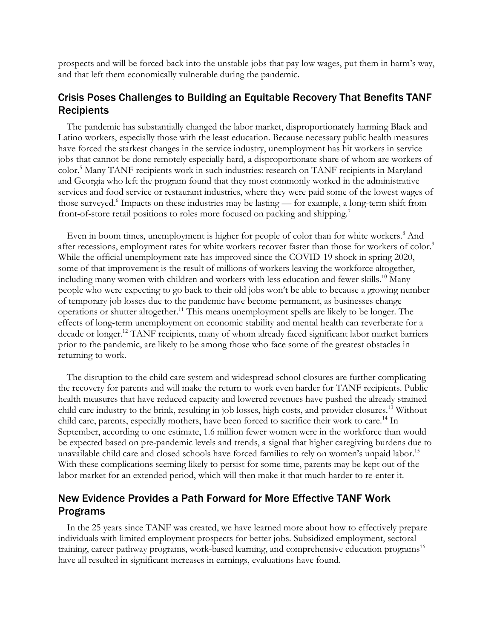prospects and will be forced back into the unstable jobs that pay low wages, put them in harm's way, and that left them economically vulnerable during the pandemic.

### Crisis Poses Challenges to Building an Equitable Recovery That Benefits TANF **Recipients**

The pandemic has substantially changed the labor market, disproportionately harming Black and Latino workers, especially those with the least education. Because necessary public health measures have forced the starkest changes in the service industry, unemployment has hit workers in service jobs that cannot be done remotely especially hard, a disproportionate share of whom are workers of color. <sup>5</sup> Many TANF recipients work in such industries: research on TANF recipients in Maryland and Georgia who left the program found that they most commonly worked in the administrative services and food service or restaurant industries, where they were paid some of the lowest wages of those surveyed.<sup>6</sup> Impacts on these industries may be lasting — for example, a long-term shift from front-of-store retail positions to roles more focused on packing and shipping.7

Even in boom times, unemployment is higher for people of color than for white workers.<sup>8</sup> And after recessions, employment rates for white workers recover faster than those for workers of color.<sup>9</sup> While the official unemployment rate has improved since the COVID-19 shock in spring 2020, some of that improvement is the result of millions of workers leaving the workforce altogether, including many women with children and workers with less education and fewer skills. <sup>10</sup> Many people who were expecting to go back to their old jobs won't be able to because a growing number of temporary job losses due to the pandemic have become permanent, as businesses change operations or shutter altogether.11 This means unemployment spells are likely to be longer. The effects of long-term unemployment on economic stability and mental health can reverberate for a decade or longer.<sup>12</sup> TANF recipients, many of whom already faced significant labor market barriers prior to the pandemic, are likely to be among those who face some of the greatest obstacles in returning to work.

The disruption to the child care system and widespread school closures are further complicating the recovery for parents and will make the return to work even harder for TANF recipients. Public health measures that have reduced capacity and lowered revenues have pushed the already strained child care industry to the brink, resulting in job losses, high costs, and provider closures. <sup>13</sup> Without child care, parents, especially mothers, have been forced to sacrifice their work to care.<sup>14</sup> In September, according to one estimate, 1.6 million fewer women were in the workforce than would be expected based on pre-pandemic levels and trends, a signal that higher caregiving burdens due to unavailable child care and closed schools have forced families to rely on women's unpaid labor.<sup>15</sup> With these complications seeming likely to persist for some time, parents may be kept out of the labor market for an extended period, which will then make it that much harder to re-enter it.

## New Evidence Provides a Path Forward for More Effective TANF Work Programs

In the 25 years since TANF was created, we have learned more about how to effectively prepare individuals with limited employment prospects for better jobs. Subsidized employment, sectoral training, career pathway programs, work-based learning, and comprehensive education programs<sup>16</sup> have all resulted in significant increases in earnings, evaluations have found.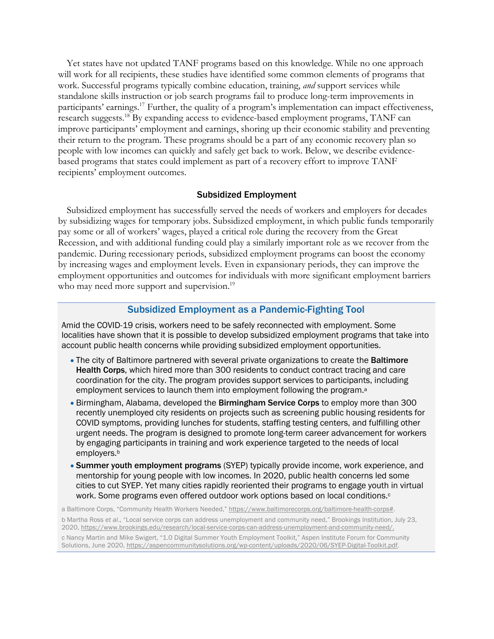Yet states have not updated TANF programs based on this knowledge. While no one approach will work for all recipients, these studies have identified some common elements of programs that work. Successful programs typically combine education, training, *and* support services while standalone skills instruction or job search programs fail to produce long-term improvements in participants' earnings.<sup>17</sup> Further, the quality of a program's implementation can impact effectiveness, research suggests. <sup>18</sup> By expanding access to evidence-based employment programs, TANF can improve participants' employment and earnings, shoring up their economic stability and preventing their return to the program. These programs should be a part of any economic recovery plan so people with low incomes can quickly and safely get back to work. Below, we describe evidencebased programs that states could implement as part of a recovery effort to improve TANF recipients' employment outcomes.

#### Subsidized Employment

Subsidized employment has successfully served the needs of workers and employers for decades by subsidizing wages for temporary jobs. Subsidized employment, in which public funds temporarily pay some or all of workers' wages, played a critical role during the recovery from the Great Recession, and with additional funding could play a similarly important role as we recover from the pandemic. During recessionary periods, subsidized employment programs can boost the economy by increasing wages and employment levels. Even in expansionary periods, they can improve the employment opportunities and outcomes for individuals with more significant employment barriers who may need more support and supervision.<sup>19</sup>

#### Subsidized Employment as a Pandemic-Fighting Tool

Amid the COVID-19 crisis, workers need to be safely reconnected with employment. Some localities have shown that it is possible to develop subsidized employment programs that take into account public health concerns while providing subsidized employment opportunities.

- The city of Baltimore partnered with several private organizations to create the **Baltimore** Health Corps, which hired more than 300 residents to conduct contract tracing and care coordination for the city. The program provides support services to participants, including employment services to launch them into employment following the program.<sup>a</sup>
- Birmingham, Alabama, developed the **Birmingham Service Corps** to employ more than 300 recently unemployed city residents on projects such as screening public housing residents for COVID symptoms, providing lunches for students, staffing testing centers, and fulfilling other urgent needs. The program is designed to promote long-term career advancement for workers by engaging participants in training and work experience targeted to the needs of local employers.b
- Summer youth employment programs (SYEP) typically provide income, work experience, and mentorship for young people with low incomes. In 2020, public health concerns led some cities to cut SYEP. Yet many cities rapidly reoriented their programs to engage youth in virtual work. Some programs even offered outdoor work options based on local conditions.<sup>c</sup>

a Baltimore Corps, "Community Health Workers Needed," https://www.baltimorecorps.org/baltimore-health-corps#. b Martha Ross *et al*., "Local service corps can address unemployment and community need," Brookings Institution, July 23, 2020, https://www.brookings.edu/research/local-service-corps-can-address-unemployment-and-community-need/.

c Nancy Martin and Mike Swigert, "1.0 Digital Summer Youth Employment Toolkit," Aspen Institute Forum for Community Solutions, June 2020, https://aspencommunitysolutions.org/wp-content/uploads/2020/06/SYEP-Digital-Toolkit.pdf.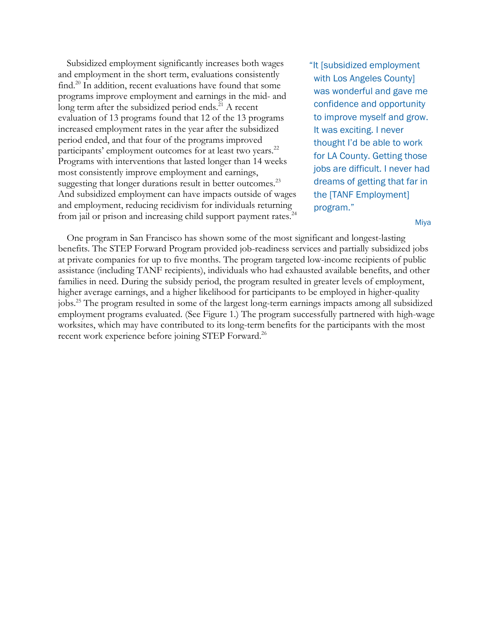Subsidized employment significantly increases both wages and employment in the short term, evaluations consistently find. <sup>20</sup> In addition, recent evaluations have found that some programs improve employment and earnings in the mid- and long term after the subsidized period ends.<sup>21</sup> A recent evaluation of 13 programs found that 12 of the 13 programs increased employment rates in the year after the subsidized period ended, and that four of the programs improved participants' employment outcomes for at least two years.<sup>22</sup> Programs with interventions that lasted longer than 14 weeks most consistently improve employment and earnings, suggesting that longer durations result in better outcomes.<sup>23</sup> And subsidized employment can have impacts outside of wages and employment, reducing recidivism for individuals returning from jail or prison and increasing child support payment rates.<sup>24</sup>

"It [subsidized employment with Los Angeles County] was wonderful and gave me confidence and opportunity to improve myself and grow. It was exciting. I never thought I'd be able to work for LA County. Getting those jobs are difficult. I never had dreams of getting that far in the [TANF Employment] program."

Miya

One program in San Francisco has shown some of the most significant and longest-lasting benefits. The STEP Forward Program provided job-readiness services and partially subsidized jobs at private companies for up to five months. The program targeted low-income recipients of public assistance (including TANF recipients), individuals who had exhausted available benefits, and other families in need. During the subsidy period, the program resulted in greater levels of employment, higher average earnings, and a higher likelihood for participants to be employed in higher-quality jobs.25 The program resulted in some of the largest long-term earnings impacts among all subsidized employment programs evaluated. (See Figure 1.) The program successfully partnered with high-wage worksites, which may have contributed to its long-term benefits for the participants with the most recent work experience before joining STEP Forward.<sup>26</sup>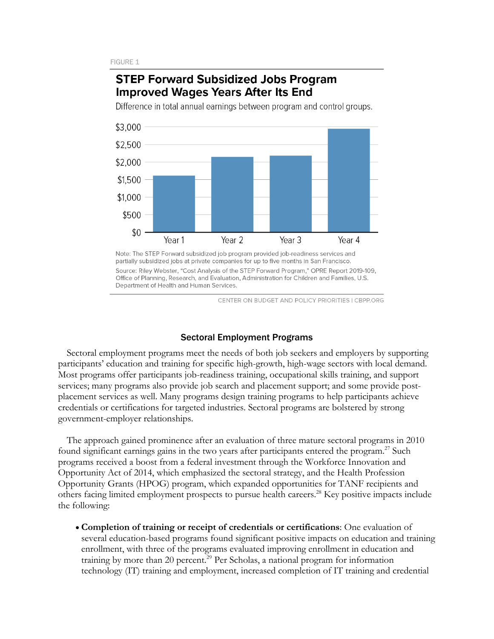# **STEP Forward Subsidized Jobs Program Improved Wages Years After Its End**

Difference in total annual earnings between program and control groups.



Note: The STEP Forward subsidized job program provided job-readiness services and partially subsidized jobs at private companies for up to five months in San Francisco. Source: Riley Webster, "Cost Analysis of the STEP Forward Program," OPRE Report 2019-109, Office of Planning, Research, and Evaluation, Administration for Children and Families, U.S. Department of Health and Human Services.

CENTER ON BUDGET AND POLICY PRIORITIES I CBPP.ORG

#### Sectoral Employment Programs

Sectoral employment programs meet the needs of both job seekers and employers by supporting participants' education and training for specific high-growth, high-wage sectors with local demand. Most programs offer participants job-readiness training, occupational skills training, and support services; many programs also provide job search and placement support; and some provide postplacement services as well. Many programs design training programs to help participants achieve credentials or certifications for targeted industries. Sectoral programs are bolstered by strong government-employer relationships.

The approach gained prominence after an evaluation of three mature sectoral programs in 2010 found significant earnings gains in the two years after participants entered the program.<sup>27</sup> Such programs received a boost from a federal investment through the Workforce Innovation and Opportunity Act of 2014, which emphasized the sectoral strategy, and the Health Profession Opportunity Grants (HPOG) program, which expanded opportunities for TANF recipients and others facing limited employment prospects to pursue health careers.28 Key positive impacts include the following:

• **Completion of training or receipt of credentials or certifications**: One evaluation of several education-based programs found significant positive impacts on education and training enrollment, with three of the programs evaluated improving enrollment in education and training by more than 20 percent.<sup> $29$ </sup> Per Scholas, a national program for information technology (IT) training and employment, increased completion of IT training and credential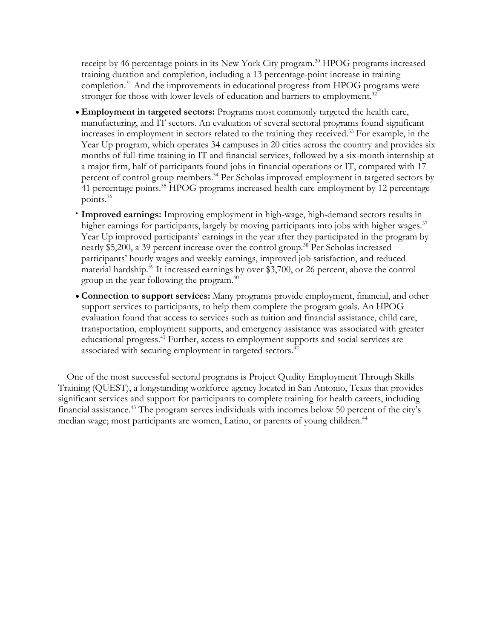receipt by 46 percentage points in its New York City program.<sup>30</sup> HPOG programs increased training duration and completion, including a 13 percentage-point increase in training completion.<sup>31</sup> And the improvements in educational progress from HPOG programs were stronger for those with lower levels of education and barriers to employment.<sup>32</sup>

- **Employment in targeted sectors:** Programs most commonly targeted the health care, manufacturing, and IT sectors. An evaluation of several sectoral programs found significant increases in employment in sectors related to the training they received. <sup>33</sup> For example, in the Year Up program, which operates 34 campuses in 20 cities across the country and provides six months of full-time training in IT and financial services, followed by a six-month internship at a major firm, half of participants found jobs in financial operations or IT, compared with 17 percent of control group members.<sup>34</sup> Per Scholas improved employment in targeted sectors by 41 percentage points. <sup>35</sup> HPOG programs increased health care employment by 12 percentage points. 36
- **Improved earnings:** Improving employment in high-wage, high-demand sectors results in higher earnings for participants, largely by moving participants into jobs with higher wages.<sup>37</sup> Year Up improved participants' earnings in the year after they participated in the program by nearly \$5,200, a 39 percent increase over the control group.<sup>38</sup> Per Scholas increased participants' hourly wages and weekly earnings, improved job satisfaction, and reduced material hardship.<sup>39</sup> It increased earnings by over \$3,700, or 26 percent, above the control group in the year following the program.40
- **Connection to support services:** Many programs provide employment, financial, and other support services to participants, to help them complete the program goals. An HPOG evaluation found that access to services such as tuition and financial assistance, child care, transportation, employment supports, and emergency assistance was associated with greater educational progress.41 Further, access to employment supports and social services are associated with securing employment in targeted sectors.<sup>42</sup>

One of the most successful sectoral programs is Project Quality Employment Through Skills Training (QUEST), a longstanding workforce agency located in San Antonio, Texas that provides significant services and support for participants to complete training for health careers, including financial assistance.<sup>43</sup> The program serves individuals with incomes below 50 percent of the city's median wage; most participants are women, Latino, or parents of young children.<sup>44</sup>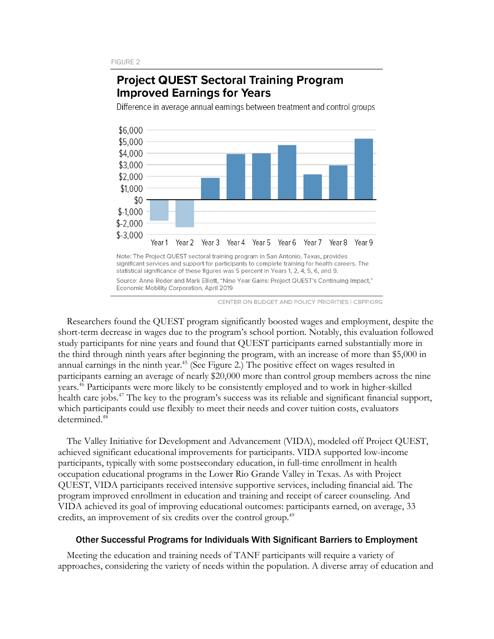## **Project QUEST Sectoral Training Program Improved Earnings for Years**

Difference in average annual earnings between treatment and control groups



Source: Anne Roder and Mark Elliott, "Nine Year Gains: Project QUEST's Continuing Impact," Economic Mobility Corporation, April 2019

CENTER ON BUDGET AND POLICY PRIORITIES | CBPP.ORG

Researchers found the QUEST program significantly boosted wages and employment, despite the short-term decrease in wages due to the program's school portion. Notably, this evaluation followed study participants for nine years and found that QUEST participants earned substantially more in the third through ninth years after beginning the program, with an increase of more than \$5,000 in annual earnings in the ninth year.<sup>45</sup> (See Figure 2.) The positive effect on wages resulted in participants earning an average of nearly \$20,000 more than control group members across the nine years.46 Participants were more likely to be consistently employed and to work in higher-skilled health care jobs.<sup>47</sup> The key to the program's success was its reliable and significant financial support, which participants could use flexibly to meet their needs and cover tuition costs, evaluators determined. 48

The Valley Initiative for Development and Advancement (VIDA), modeled off Project QUEST, achieved significant educational improvements for participants. VIDA supported low-income participants, typically with some postsecondary education, in full-time enrollment in health occupation educational programs in the Lower Rio Grande Valley in Texas. As with Project QUEST, VIDA participants received intensive supportive services, including financial aid. The program improved enrollment in education and training and receipt of career counseling. And VIDA achieved its goal of improving educational outcomes: participants earned, on average, 33 credits, an improvement of six credits over the control group. 49

#### Other Successful Programs for Individuals With Significant Barriers to Employment

Meeting the education and training needs of TANF participants will require a variety of approaches, considering the variety of needs within the population. A diverse array of education and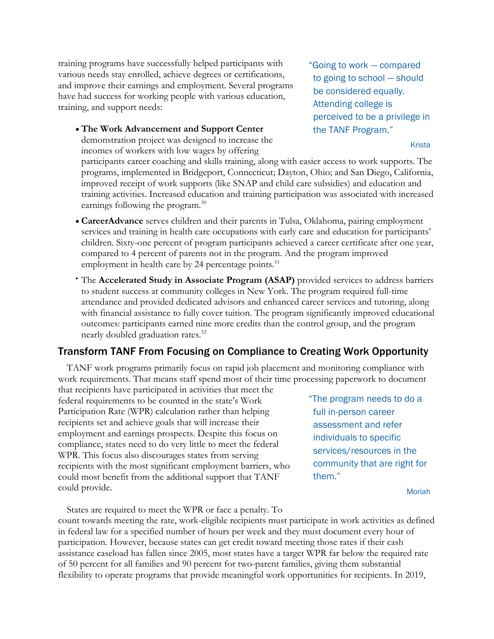training programs have successfully helped participants with various needs stay enrolled, achieve degrees or certifications, and improve their earnings and employment. Several programs have had success for working people with various education, training, and support needs:

• **The Work Advancement and Support Center** demonstration project was designed to increase the incomes of workers with low wages by offering

"Going to work — compared to going to school — should be considered equally. Attending college is perceived to be a privilege in the TANF Program."

#### Krista

participants career coaching and skills training, along with easier access to work supports. The programs, implemented in Bridgeport, Connecticut; Dayton, Ohio; and San Diego, California, improved receipt of work supports (like SNAP and child care subsidies) and education and training activities. Increased education and training participation was associated with increased earnings following the program.50

- **CareerAdvance** serves children and their parents in Tulsa, Oklahoma, pairing employment services and training in health care occupations with early care and education for participants' children. Sixty-one percent of program participants achieved a career certificate after one year, compared to 4 percent of parents not in the program. And the program improved employment in health care by 24 percentage points. $51$
- The **Accelerated Study in Associate Program (ASAP)** provided services to address barriers to student success at community colleges in New York. The program required full-time attendance and provided dedicated advisors and enhanced career services and tutoring, along with financial assistance to fully cover tuition. The program significantly improved educational outcomes: participants earned nine more credits than the control group, and the program nearly doubled graduation rates. 52

### Transform TANF From Focusing on Compliance to Creating Work Opportunity

TANF work programs primarily focus on rapid job placement and monitoring compliance with work requirements. That means staff spend most of their time processing paperwork to document

that recipients have participated in activities that meet the federal requirements to be counted in the state's Work Participation Rate (WPR) calculation rather than helping recipients set and achieve goals that will increase their employment and earnings prospects. Despite this focus on compliance, states need to do very little to meet the federal WPR. This focus also discourages states from serving recipients with the most significant employment barriers, who could most benefit from the additional support that TANF could provide.

"The program needs to do a full in-person career assessment and refer individuals to specific services/resources in the community that are right for them."

Moriah

States are required to meet the WPR or face a penalty. To count towards meeting the rate, work-eligible recipients must participate in work activities as defined in federal law for a specified number of hours per week and they must document every hour of participation. However, because states can get credit toward meeting those rates if their cash assistance caseload has fallen since 2005, most states have a target WPR far below the required rate of 50 percent for all families and 90 percent for two-parent families, giving them substantial flexibility to operate programs that provide meaningful work opportunities for recipients. In 2019,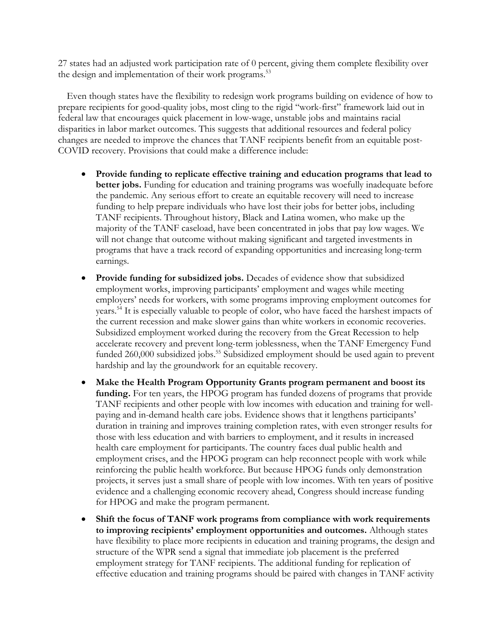27 states had an adjusted work participation rate of 0 percent, giving them complete flexibility over the design and implementation of their work programs.<sup>53</sup>

Even though states have the flexibility to redesign work programs building on evidence of how to prepare recipients for good-quality jobs, most cling to the rigid "work-first" framework laid out in federal law that encourages quick placement in low-wage, unstable jobs and maintains racial disparities in labor market outcomes. This suggests that additional resources and federal policy changes are needed to improve the chances that TANF recipients benefit from an equitable post-COVID recovery. Provisions that could make a difference include:

- **Provide funding to replicate effective training and education programs that lead to better jobs.** Funding for education and training programs was woefully inadequate before the pandemic. Any serious effort to create an equitable recovery will need to increase funding to help prepare individuals who have lost their jobs for better jobs, including TANF recipients. Throughout history, Black and Latina women, who make up the majority of the TANF caseload, have been concentrated in jobs that pay low wages. We will not change that outcome without making significant and targeted investments in programs that have a track record of expanding opportunities and increasing long-term earnings.
- **Provide funding for subsidized jobs.** Decades of evidence show that subsidized employment works, improving participants' employment and wages while meeting employers' needs for workers, with some programs improving employment outcomes for years.<sup>54</sup> It is especially valuable to people of color, who have faced the harshest impacts of the current recession and make slower gains than white workers in economic recoveries. Subsidized employment worked during the recovery from the Great Recession to help accelerate recovery and prevent long-term joblessness, when the TANF Emergency Fund funded 260,000 subsidized jobs. <sup>55</sup> Subsidized employment should be used again to prevent hardship and lay the groundwork for an equitable recovery.
- **Make the Health Program Opportunity Grants program permanent and boost its funding.** For ten years, the HPOG program has funded dozens of programs that provide TANF recipients and other people with low incomes with education and training for wellpaying and in-demand health care jobs. Evidence shows that it lengthens participants' duration in training and improves training completion rates, with even stronger results for those with less education and with barriers to employment, and it results in increased health care employment for participants. The country faces dual public health and employment crises, and the HPOG program can help reconnect people with work while reinforcing the public health workforce. But because HPOG funds only demonstration projects, it serves just a small share of people with low incomes. With ten years of positive evidence and a challenging economic recovery ahead, Congress should increase funding for HPOG and make the program permanent.
- **Shift the focus of TANF work programs from compliance with work requirements to improving recipients' employment opportunities and outcomes.** Although states have flexibility to place more recipients in education and training programs, the design and structure of the WPR send a signal that immediate job placement is the preferred employment strategy for TANF recipients. The additional funding for replication of effective education and training programs should be paired with changes in TANF activity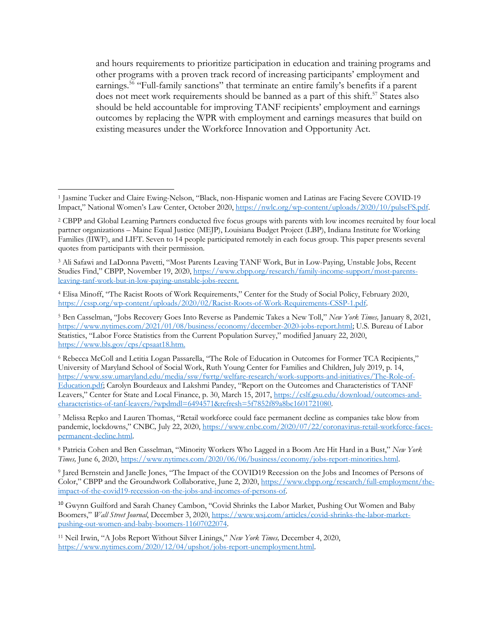and hours requirements to prioritize participation in education and training programs and other programs with a proven track record of increasing participants' employment and earnings.<sup>56</sup> "Full-family sanctions" that terminate an entire family's benefits if a parent does not meet work requirements should be banned as a part of this shift.<sup>57</sup> States also should be held accountable for improving TANF recipients' employment and earnings outcomes by replacing the WPR with employment and earnings measures that build on existing measures under the Workforce Innovation and Opportunity Act.

<sup>3</sup> Ali Safawi and LaDonna Pavetti, "Most Parents Leaving TANF Work, But in Low-Paying, Unstable Jobs, Recent Studies Find," CBPP, November 19, 2020, https://www.cbpp.org/research/family-income-support/most-parentsleaving-tanf-work-but-in-low-paying-unstable-jobs-recent.

<sup>1</sup> Jasmine Tucker and Claire Ewing-Nelson, "Black, non-Hispanic women and Latinas are Facing Severe COVID-19 Impact," National Women's Law Center, October 2020, https://nwlc.org/wp-content/uploads/2020/10/pulseFS.pdf.

<sup>2</sup> CBPP and Global Learning Partners conducted five focus groups with parents with low incomes recruited by four local partner organizations – Maine Equal Justice (MEJP), Louisiana Budget Project (LBP), Indiana Institute for Working Families (IIWF), and LIFT. Seven to 14 people participated remotely in each focus group. This paper presents several quotes from participants with their permission.

<sup>4</sup> Elisa Minoff, "The Racist Roots of Work Requirements," Center for the Study of Social Policy, February 2020, https://cssp.org/wp-content/uploads/2020/02/Racist-Roots-of-Work-Requirements-CSSP-1.pdf.

<sup>5</sup> Ben Casselman, "Jobs Recovery Goes Into Reverse as Pandemic Takes a New Toll," *New York Times,* January 8, 2021, https://www.nytimes.com/2021/01/08/business/economy/december-2020-jobs-report.html; U.S. Bureau of Labor Statistics, "Labor Force Statistics from the Current Population Survey," modified January 22, 2020, https://www.bls.gov/cps/cpsaat18.htm.

<sup>6</sup> Rebecca McColl and Letitia Logan Passarella, "The Role of Education in Outcomes for Former TCA Recipients," University of Maryland School of Social Work, Ruth Young Center for Families and Children, July 2019, p. 14, https://www.ssw.umaryland.edu/media/ssw/fwrtg/welfare-research/work-supports-and-initiatives/The-Role-of-Education.pdf; Carolyn Bourdeaux and Lakshmi Pandey, "Report on the Outcomes and Characteristics of TANF Leavers," Center for State and Local Finance, p. 30, March 15, 2017, https://cslf.gsu.edu/download/outcomes-andcharacteristics-of-tanf-leavers/?wpdmdl=6494571&refresh=5f7852f89a8bc1601721080.

<sup>7</sup> Melissa Repko and Lauren Thomas, "Retail workforce could face permanent decline as companies take blow from pandemic, lockdowns," CNBC*,* July 22, 2020, https://www.cnbc.com/2020/07/22/coronavirus-retail-workforce-facespermanent-decline.html.

<sup>8</sup> Patricia Cohen and Ben Casselman, "Minority Workers Who Lagged in a Boom Are Hit Hard in a Bust," *New York Times,* June 6, 2020, https://www.nytimes.com/2020/06/06/business/economy/jobs-report-minorities.html.

<sup>9</sup> Jared Bernstein and Janelle Jones, "The Impact of the COVID19 Recession on the Jobs and Incomes of Persons of Color," CBPP and the Groundwork Collaborative, June 2, 2020, https://www.cbpp.org/research/full-employment/theimpact-of-the-covid19-recession-on-the-jobs-and-incomes-of-persons-of.

<sup>10</sup> Gwynn Guilford and Sarah Chaney Cambon, "Covid Shrinks the Labor Market, Pushing Out Women and Baby Boomers," *Wall Street Journal*, December 3, 2020, https://www.wsj.com/articles/covid-shrinks-the-labor-marketpushing-out-women-and-baby-boomers-11607022074.

<sup>11</sup> Neil Irwin, "A Jobs Report Without Silver Linings," *New York Times,* December 4, 2020, https://www.nytimes.com/2020/12/04/upshot/jobs-report-unemployment.html.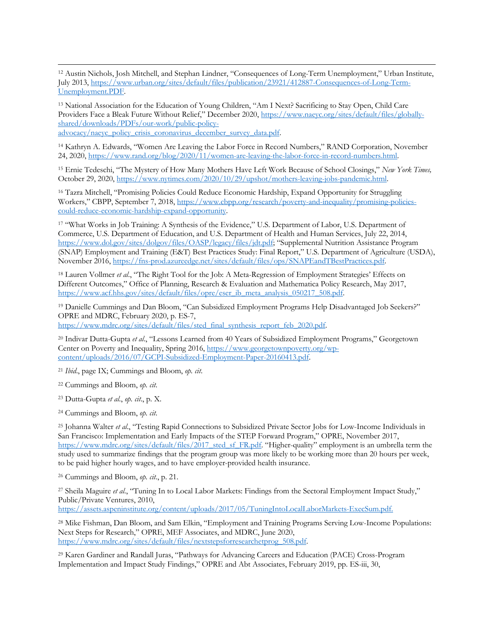<sup>12</sup> Austin Nichols, Josh Mitchell, and Stephan Lindner, "Consequences of Long-Term Unemployment," Urban Institute, July 2013, https://www.urban.org/sites/default/files/publication/23921/412887-Consequences-of-Long-Term-Unemployment.PDF.

<sup>13</sup> National Association for the Education of Young Children, "Am I Next? Sacrificing to Stay Open, Child Care Providers Face a Bleak Future Without Relief," December 2020, https://www.naeyc.org/sites/default/files/globallyshared/downloads/PDFs/our-work/public-policy-

advocacy/naeyc\_policy\_crisis\_coronavirus\_december\_survey\_data.pdf.

<sup>14</sup> Kathryn A. Edwards, "Women Are Leaving the Labor Force in Record Numbers," RAND Corporation, November 24, 2020, https://www.rand.org/blog/2020/11/women-are-leaving-the-labor-force-in-record-numbers.html.

<sup>15</sup> Ernie Tedeschi, "The Mystery of How Many Mothers Have Left Work Because of School Closings," *New York Times,* October 29, 2020, https://www.nytimes.com/2020/10/29/upshot/mothers-leaving-jobs-pandemic.html.

<sup>16</sup> Tazra Mitchell, "Promising Policies Could Reduce Economic Hardship, Expand Opportunity for Struggling Workers," CBPP, September 7, 2018, https://www.cbpp.org/research/poverty-and-inequality/promising-policiescould-reduce-economic-hardship-expand-opportunity.

<sup>17</sup> "What Works in Job Training: A Synthesis of the Evidence," U.S. Department of Labor, U.S. Department of Commerce, U.S. Department of Education, and U.S. Department of Health and Human Services, July 22, 2014, https://www.dol.gov/sites/dolgov/files/OASP/legacy/files/jdt.pdf; "Supplemental Nutrition Assistance Program (SNAP) Employment and Training (E&T) Best Practices Study: Final Report," U.S. Department of Agriculture (USDA), November 2016, https://fns-prod.azureedge.net/sites/default/files/ops/SNAPEandTBestPractices.pdf.

<sup>18</sup> Lauren Vollmer *et al*., "The Right Tool for the Job: A Meta-Regression of Employment Strategies' Effects on Different Outcomes," Office of Planning, Research & Evaluation and Mathematica Policy Research, May 2017, https://www.acf.hhs.gov/sites/default/files/opre/eser\_ib\_meta\_analysis\_050217\_508.pdf.

<sup>19</sup> Danielle Cummings and Dan Bloom, "Can Subsidized Employment Programs Help Disadvantaged Job Seekers?" OPRE and MDRC, February 2020, p. ES-7, https://www.mdrc.org/sites/default/files/sted\_final\_synthesis\_report\_feb\_2020.pdf.

<sup>20</sup> Indivar Dutta-Gupta *et al*., "Lessons Learned from 40 Years of Subsidized Employment Programs," Georgetown Center on Poverty and Inequality, Spring 2016, https://www.georgetownpoverty.org/wpcontent/uploads/2016/07/GCPI-Subsidized-Employment-Paper-20160413.pdf.

<sup>21</sup> *Ibid*., page IX; Cummings and Bloom, *op. cit*.

<sup>22</sup> Cummings and Bloom, *op. cit*.

<sup>23</sup> Dutta-Gupta *et al.*, *op. cit*., p. X.

<sup>24</sup> Cummings and Bloom, *op. cit*.

<sup>25</sup> Johanna Walter *et al*., "Testing Rapid Connections to Subsidized Private Sector Jobs for Low-Income Individuals in San Francisco: Implementation and Early Impacts of the STEP Forward Program," OPRE, November 2017, https://www.mdrc.org/sites/default/files/2017\_sted\_sf\_FR.pdf. "Higher-quality" employment is an umbrella term the study used to summarize findings that the program group was more likely to be working more than 20 hours per week, to be paid higher hourly wages, and to have employer-provided health insurance.

<sup>26</sup> Cummings and Bloom, *op. cit*., p. 21.

<sup>27</sup> Sheila Maguire *et al.*, "Tuning In to Local Labor Markets: Findings from the Sectoral Employment Impact Study," Public/Private Ventures, 2010,

https://assets.aspeninstitute.org/content/uploads/2017/05/TuningIntoLocalLaborMarkets-ExecSum.pdf.

<sup>28</sup> Mike Fishman, Dan Bloom, and Sam Elkin, "Employment and Training Programs Serving Low-Income Populations: Next Steps for Research," OPRE, MEF Associates, and MDRC, June 2020, https://www.mdrc.org/sites/default/files/nextstepsforresearchetprog\_508.pdf.

<sup>29</sup> Karen Gardiner and Randall Juras, "Pathways for Advancing Careers and Education (PACE) Cross-Program Implementation and Impact Study Findings," OPRE and Abt Associates, February 2019, pp. ES-iii, 30,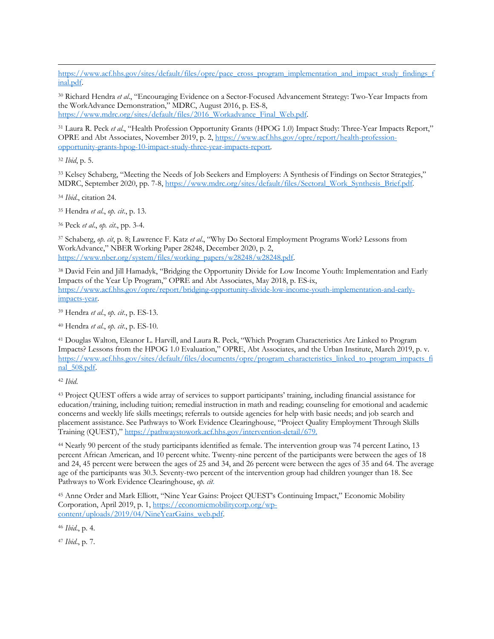https://www.acf.hhs.gov/sites/default/files/opre/pace\_cross\_program\_implementation\_and\_impact\_study\_findings\_f inal.pdf.

<sup>30</sup> Richard Hendra *et al*., "Encouraging Evidence on a Sector-Focused Advancement Strategy: Two-Year Impacts from the WorkAdvance Demonstration," MDRC, August 2016, p. ES-8, https://www.mdrc.org/sites/default/files/2016\_Workadvance\_Final\_Web.pdf.

<sup>31</sup> Laura R. Peck *et al*., "Health Profession Opportunity Grants (HPOG 1.0) Impact Study: Three-Year Impacts Report," OPRE and Abt Associates, November 2019, p. 2, https://www.acf.hhs.gov/opre/report/health-professionopportunity-grants-hpog-10-impact-study-three-year-impacts-report.

<sup>32</sup> *Ibid*, p. 5.

<sup>33</sup> Kelsey Schaberg, "Meeting the Needs of Job Seekers and Employers: A Synthesis of Findings on Sector Strategies," MDRC, September 2020, pp. 7-8, https://www.mdrc.org/sites/default/files/Sectoral\_Work\_Synthesis\_Brief.pdf.

<sup>34</sup> *Ibid*., citation 24.

<sup>35</sup> Hendra *et al*., *op. cit*., p. 13.

<sup>36</sup> Peck *et al*., *op. cit*., pp. 3-4.

<sup>37</sup> Schaberg, *op. cit*, p. 8; Lawrence F. Katz *et al*., "Why Do Sectoral Employment Programs Work? Lessons from WorkAdvance," NBER Working Paper 28248, December 2020, p. 2, https://www.nber.org/system/files/working\_papers/w28248/w28248.pdf.

<sup>38</sup> David Fein and Jill Hamadyk, "Bridging the Opportunity Divide for Low Income Youth: Implementation and Early Impacts of the Year Up Program," OPRE and Abt Associates, May 2018, p. ES-ix, https://www.acf.hhs.gov/opre/report/bridging-opportunity-divide-low-income-youth-implementation-and-earlyimpacts-year.

<sup>39</sup> Hendra *et al*., *op. cit*., p. ES-13.

<sup>40</sup> Hendra *et al*., *op. cit*., p. ES-10.

<sup>41</sup> Douglas Walton, Eleanor L. Harvill, and Laura R. Peck, "Which Program Characteristics Are Linked to Program Impacts? Lessons from the HPOG 1.0 Evaluation," OPRE, Abt Associates, and the Urban Institute, March 2019, p. v. https://www.acf.hhs.gov/sites/default/files/documents/opre/program\_characteristics\_linked\_to\_program\_impacts\_fi nal\_508.pdf.

<sup>42</sup> *Ibid*.

<sup>43</sup> Project QUEST offers a wide array of services to support participants' training, including financial assistance for education/training, including tuition; remedial instruction in math and reading; counseling for emotional and academic concerns and weekly life skills meetings; referrals to outside agencies for help with basic needs; and job search and placement assistance. See Pathways to Work Evidence Clearinghouse, "Project Quality Employment Through Skills Training (QUEST)," https://pathwaystowork.acf.hhs.gov/intervention-detail/679.

<sup>44</sup> Nearly 90 percent of the study participants identified as female. The intervention group was 74 percent Latino, 13 percent African American, and 10 percent white. Twenty-nine percent of the participants were between the ages of 18 and 24, 45 percent were between the ages of 25 and 34, and 26 percent were between the ages of 35 and 64. The average age of the participants was 30.3. Seventy-two percent of the intervention group had children younger than 18. See Pathways to Work Evidence Clearinghouse, *op. cit*.

<sup>45</sup> Anne Order and Mark Elliott, "Nine Year Gains: Project QUEST's Continuing Impact," Economic Mobility Corporation, April 2019, p. 1, https://economicmobilitycorp.org/wpcontent/uploads/2019/04/NineYearGains\_web.pdf.

<sup>46</sup> *Ibid*., p. 4.

<sup>47</sup> *Ibid*., p. 7.